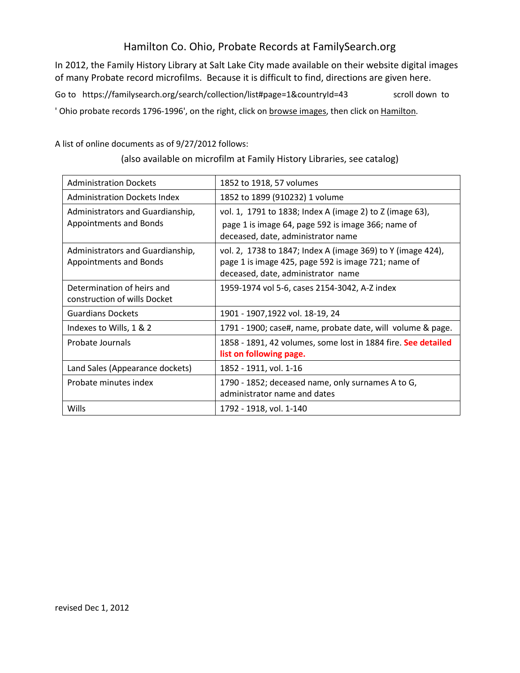## Hamilton Co. Ohio, Probate Records at FamilySearch.org

In 2012, the Family History Library at Salt Lake City made available on their website digital images of many Probate record microfilms. Because it is difficult to find, directions are given here.

Go to https://familysearch.org/search/collection/list#page=1&countryId=43 scroll down to

' Ohio probate records 1796-1996', on the right, click on browse images, then click on Hamilton.

A list of online documents as of 9/27/2012 follows:

| <b>Administration Dockets</b>                              | 1852 to 1918, 57 volumes                                                                                                                                 |  |  |  |  |
|------------------------------------------------------------|----------------------------------------------------------------------------------------------------------------------------------------------------------|--|--|--|--|
| <b>Administration Dockets Index</b>                        | 1852 to 1899 (910232) 1 volume                                                                                                                           |  |  |  |  |
| Administrators and Guardianship,<br>Appointments and Bonds | vol. 1, 1791 to 1838; Index A (image 2) to Z (image 63),<br>page 1 is image 64, page 592 is image 366; name of<br>deceased, date, administrator name     |  |  |  |  |
| Administrators and Guardianship,<br>Appointments and Bonds | vol. 2, 1738 to 1847; Index A (image 369) to Y (image 424),<br>page 1 is image 425, page 592 is image 721; name of<br>deceased, date, administrator name |  |  |  |  |
| Determination of heirs and<br>construction of wills Docket | 1959-1974 vol 5-6, cases 2154-3042, A-Z index                                                                                                            |  |  |  |  |
| <b>Guardians Dockets</b>                                   | 1901 - 1907,1922 vol. 18-19, 24                                                                                                                          |  |  |  |  |
| Indexes to Wills, 1 & 2                                    | 1791 - 1900; case#, name, probate date, will volume & page.                                                                                              |  |  |  |  |
| Probate Journals                                           | 1858 - 1891, 42 volumes, some lost in 1884 fire. See detailed<br>list on following page.                                                                 |  |  |  |  |
| Land Sales (Appearance dockets)                            | 1852 - 1911, vol. 1-16                                                                                                                                   |  |  |  |  |
| Probate minutes index                                      | 1790 - 1852; deceased name, only surnames A to G,<br>administrator name and dates                                                                        |  |  |  |  |
| Wills                                                      | 1792 - 1918, vol. 1-140                                                                                                                                  |  |  |  |  |

(also available on microfilm at Family History Libraries, see catalog)